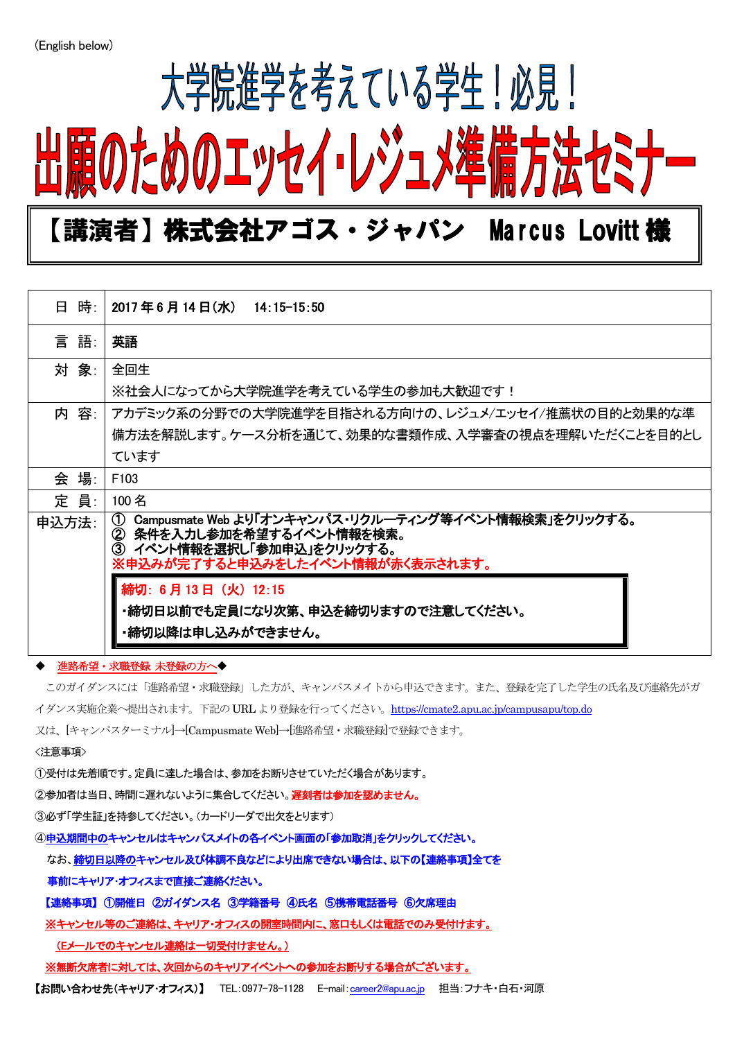$\overline{a}$ 

## 大学院進学を考えている学生!必見! 出願のためのエッセイ・レジュメ準

### 【講演者】株式会社アゴス・ジャパン Marcus Lovitt 様

| 日 時:  | 2017年6月14日(水)<br>$14:15 - 15:50$                                                                                                                                                 |
|-------|----------------------------------------------------------------------------------------------------------------------------------------------------------------------------------|
| 言語:   | 英語                                                                                                                                                                               |
| 対 象:  | 全回生                                                                                                                                                                              |
|       | ※社会人になってから大学院進学を考えている学生の参加も大歓迎です!                                                                                                                                                |
| 内 容:  | アカデミック系の分野での大学院進学を目指される方向けの、レジュメ/エッセイ/推薦状の目的と効果的な準                                                                                                                               |
|       | 備方法を解説します。ケース分析を通じて、効果的な書類作成、入学審査の視点を理解いただくことを目的とし                                                                                                                               |
|       | ています                                                                                                                                                                             |
| 会 場:  | F <sub>103</sub>                                                                                                                                                                 |
| 定 員:  | 100 名                                                                                                                                                                            |
| 申込方法: | Campusmate Web より「オンキャンパス・リクルーティング等イベント情報検索」をクリックする。<br>$\circ$<br>条件を入力し参加を希望するイベント情報を検索。<br>$\circled{2}$<br>イベント情報を選択し「参加申込」をクリックする。<br>③<br>※申込みが完了すると申込みをしたイベント情報が赤く表示されます。 |
|       | 締切: 6月13日 (火) 12:15<br>・締切日以前でも定員になり次第、申込を締切りますので注意してください。                                                                                                                       |
|       | ・締切以降は申し込みができません。                                                                                                                                                                |

#### - 進路希望・求職登録 未登録の方へ◆

このガイダンスには「進路希望・求職登録」した方が、キャンパスメイトから申込できます。また、登録を完了した学生の氏名及び連絡先がガ イダンス実施企業へ提出されます。下記の URL より登録を行ってください。<https://cmate2.apu.ac.jp/campusapu/top.do>

又は、[キャンパスターミナル]→[Campusmate Web]→[進路希望・求職登録]で登録できます。

<注意事項>

①受付は先着順です。定員に達した場合は、参加をお断りさせていただく場合があります。

②参加者は当日、時間に遅れないように集合してください。遅刻者は参加を認めません。

③必ず「学生証」を持参してください。(カードリーダで出欠をとります)

④申込期間中のキャンセルはキャンパスメイトの各イベント画面の「参加取消」をクリックしてください。

#### なお、締切日以降のキャンセル及び体調不良などにより出席できない場合は、以下の【連絡事項】全てを

事前にキャリア・オフィスまで直接ご連絡ください。

【連絡事項】 ①開催日 ②ガイダンス名 ③学籍番号 ④氏名 ⑤携帯電話番号 ⑥欠席理由

※キャンセル等のご連絡は、キャリア・オフィスの開室時間内に、窓口もしくは電話でのみ受付けます。

(Eメールでのキャンセル連絡は一切受付けません。)

※無断欠席者に対しては、次回からのキャリアイベントへの参加をお断りする場合がございます。

【お問い合わせ先(キャリア・オフィス)】 TEL:0977-78-1128 E-mail:[career2@apu.ac.jp](mailto:career2@apu.ac.jp) 担当:フナキ・白石・河原